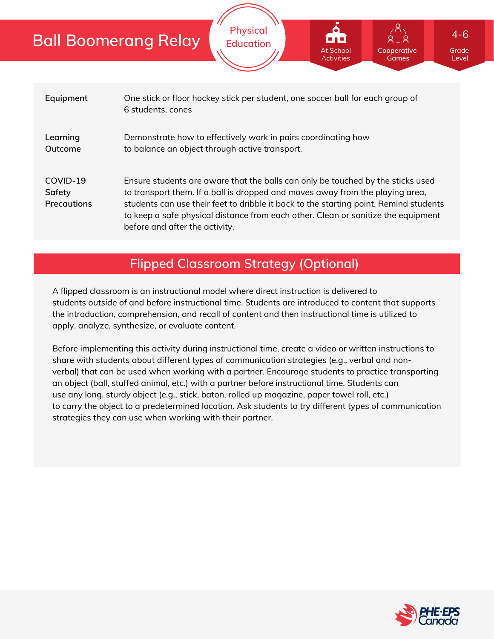# **Ball Boomerang Relay**

| Equipment                                | One stick or floor hockey stick per student, one soccer ball for each group of<br>6 students, cones                                                                                                                                                                                                                                                                              |
|------------------------------------------|----------------------------------------------------------------------------------------------------------------------------------------------------------------------------------------------------------------------------------------------------------------------------------------------------------------------------------------------------------------------------------|
| Learning<br>Outcome                      | Demonstrate how to effectively work in pairs coordinating how<br>to balance an object through active transport.                                                                                                                                                                                                                                                                  |
| COVID-19<br>Safety<br><b>Precautions</b> | Ensure students are aware that the balls can only be touched by the sticks used<br>to transport them. If a ball is dropped and moves away from the playing area,<br>students can use their feet to dribble it back to the starting point. Remind students<br>to keep a safe physical distance from each other. Clean or sanitize the equipment<br>before and after the activity. |

**Physical Education**

## **Flipped Classroom Strategy (Optional)**

A flipped classroom is an instructional model where direct instruction is delivered to students *outside of* and *before* instructional time. Students are introduced to content that supports the introduction, comprehension, and recall of content and then instructional time is utilized to apply, analyze, synthesize, or evaluate content.

Before implementing this activity during instructional time, create a video or written instructions to share with students about different types of communication strategies (e.g., verbal and nonverbal) that can be used when working with a partner. Encourage students to practice transporting an object (ball, stuffed animal, etc.) with a partner before instructional time. Students can use any long, sturdy object (e.g., stick, baton, rolled up magazine, paper towel roll, etc.) to carry the object to a predetermined location. Ask students to try different types of communication strategies they can use when working with their partner.



Grade Level

**Cooperative Games**

At School Activities 4-6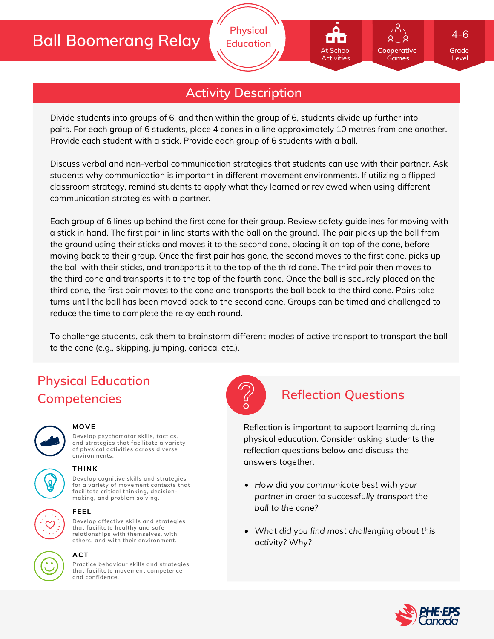# **Ball Boomerang Relay**

## **Activity Description**

**Physical Education**

Divide students into groups of 6, and then within the group of 6, students divide up further into pairs. For each group of 6 students, place 4 cones in a line approximately 10 metres from one another. Provide each student with a stick. Provide each group of 6 students with a ball.

Discuss verbal and non-verbal communication strategies that students can use with their partner. Ask students why communication is important in different movement environments. If utilizing a flipped classroom strategy, remind students to apply what they learned or reviewed when using different communication strategies with a partner.

Each group of 6 lines up behind the first cone for their group. Review safety guidelines for moving with a stick in hand. The first pair in line starts with the ball on the ground. The pair picks up the ball from the ground using their sticks and moves it to the second cone, placing it on top of the cone, before moving back to their group. Once the first pair has gone, the second moves to the first cone, picks up the ball with their sticks, and transports it to the top of the third cone. The third pair then moves to the third cone and transports it to the top of the fourth cone. Once the ball is securely placed on the third cone, the first pair moves to the cone and transports the ball back to the third cone. Pairs take turns until the ball has been moved back to the second cone. Groups can be timed and challenged to reduce the time to complete the relay each round.

To challenge students, ask them to brainstorm different modes of active transport to transport the ball to the cone (e.g., skipping, jumping, carioca, etc.).

# **Physical Education Competencies Reflection Questions**



### **MOVE**

**Develop psychomotor skills, tactics, and strategies that facilitate a variety of physical activities across diverse environments.**

## **THINK**

**Develop cognitive skills and strategies for a variety of movement contexts that facilitate critical thinking, decision making, and problem solving.**



### **FEEL**

**Develop affective skills and strategies that facilitate healthy and safe relationships with themselves, with others, and with their environment.**



### **ACT**

**Practice behaviour skills and strategies that facilitate movement competence and confidence.**



Reflection is important to support learning during physical education. Consider asking students the reflection questions below and discuss the answers together.

- *How did you communicate best with your partner in order to successfully transport the ball to the cone?*
- *What did you find most challenging about this activity? Why?*



Grade Level

**Cooperative Games**

At School Activities

4-6